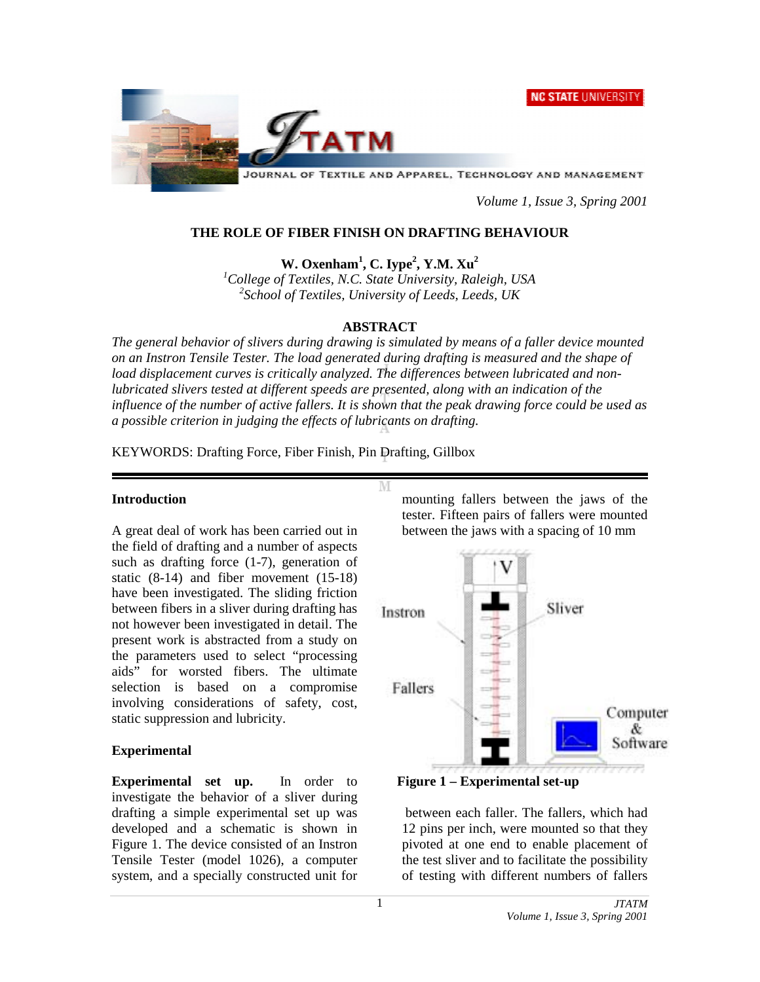**NC STATE UNIVERSITY** 



JOURNAL OF TEXTILE AND APPAREL, TECHNOLOGY AND MANAGEMENT

*Volume 1, Issue 3, Spring 2001* 

# **THE ROLE OF FIBER FINISH ON DRAFTING BEHAVIOUR**

**W. Oxenham<sup>1</sup> , C. Iype<sup>2</sup> , Y.M. Xu2**

*1 College of Textiles, N.C. State University, Raleigh, USA 2 School of Textiles, University of Leeds, Leeds, UK*

## **ABSTRACT**

*The general behavior of slivers during drawing is simulated by means of a faller device mounted on an Instron Tensile Tester. The load generated during drafting is measured and the shape of load displacement curves is critically analyzed. The differences between lubricated and nonlubricated slivers tested at different speeds are presented, along with an indication of the influence of the number of active fallers. It is shown that the peak drawing force could be used as a possible criterion in judging the effects of lubricants on drafting.* 

M

KEYWORDS: Drafting Force, Fiber Finish, Pin Drafting, Gillbox

## **Introduction**

A great deal of work has been carried out in the field of drafting and a number of aspects such as drafting force (1-7), generation of static (8-14) and fiber movement (15-18) have been investigated. The sliding friction between fibers in a sliver during drafting has not however been investigated in detail. The present work is abstracted from a study on the parameters used to select "processing aids" for worsted fibers. The ultimate selection is based on a compromise involving considerations of safety, cost, static suppression and lubricity.

# **Experimental**

**Experimental set up.** In order to investigate the behavior of a sliver during drafting a simple experimental set up was developed and a schematic is shown in Figure 1. The device consisted of an Instron Tensile Tester (model 1026), a computer system, and a specially constructed unit for

mounting fallers between the jaws of the tester. Fifteen pairs of fallers were mounted between the jaws with a spacing of 10 mm





 between each faller. The fallers, which had 12 pins per inch, were mounted so that they pivoted at one end to enable placement of the test sliver and to facilitate the possibility of testing with different numbers of fallers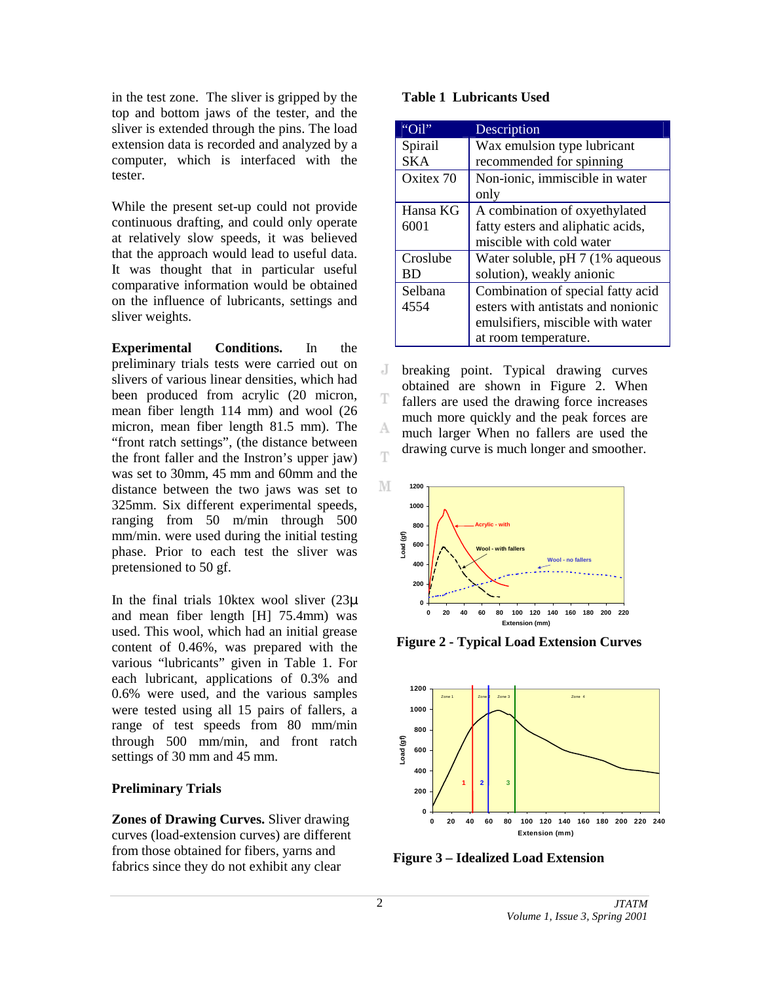in the test zone. The sliver is gripped by the top and bottom jaws of the tester, and the sliver is extended through the pins. The load extension data is recorded and analyzed by a computer, which is interfaced with the tester.

While the present set-up could not provide continuous drafting, and could only operate at relatively slow speeds, it was believed that the approach would lead to useful data. It was thought that in particular useful comparative information would be obtained on the influence of lubricants, settings and sliver weights.

**Experimental Conditions.** In the preliminary trials tests were carried out on slivers of various linear densities, which had been produced from acrylic (20 micron, mean fiber length 114 mm) and wool (26 micron, mean fiber length 81.5 mm). The "front ratch settings", (the distance between the front faller and the Instron's upper jaw) was set to 30mm, 45 mm and 60mm and the distance between the two jaws was set to 325mm. Six different experimental speeds, ranging from 50 m/min through 500 mm/min. were used during the initial testing phase. Prior to each test the sliver was pretensioned to 50 gf.

In the final trials 10ktex wool sliver  $(23\mu)$ and mean fiber length [H] 75.4mm) was used. This wool, which had an initial grease content of 0.46%, was prepared with the various "lubricants" given in Table 1. For each lubricant, applications of 0.3% and 0.6% were used, and the various samples were tested using all 15 pairs of fallers, a range of test speeds from 80 mm/min through 500 mm/min, and front ratch settings of 30 mm and 45 mm.

# **Preliminary Trials**

**Zones of Drawing Curves.** Sliver drawing curves (load-extension curves) are different from those obtained for fibers, yarns and fabrics since they do not exhibit any clear

#### **Table 1 Lubricants Used**

| " $Oi!$ "  | Description                        |
|------------|------------------------------------|
| Spirail    | Wax emulsion type lubricant        |
| <b>SKA</b> | recommended for spinning           |
| Oxitex 70  | Non-ionic, immiscible in water     |
|            | only                               |
| Hansa KG   | A combination of oxyethylated      |
| 6001       | fatty esters and aliphatic acids,  |
|            | miscible with cold water           |
| Croslube   | Water soluble, pH 7 (1% aqueous    |
| BD         | solution), weakly anionic          |
| Selbana    | Combination of special fatty acid  |
| 4554       | esters with antistats and nonionic |
|            | emulsifiers, miscible with water   |
|            | at room temperature.               |

J. breaking point. Typical drawing curves obtained are shown in Figure 2. When Ŧ fallers are used the drawing force increases much more quickly and the peak forces are A much larger When no fallers are used the drawing curve is much longer and smoother. T



 **Figure 2 - Typical Load Extension Curves** 



**Figure 3 – Idealized Load Extension**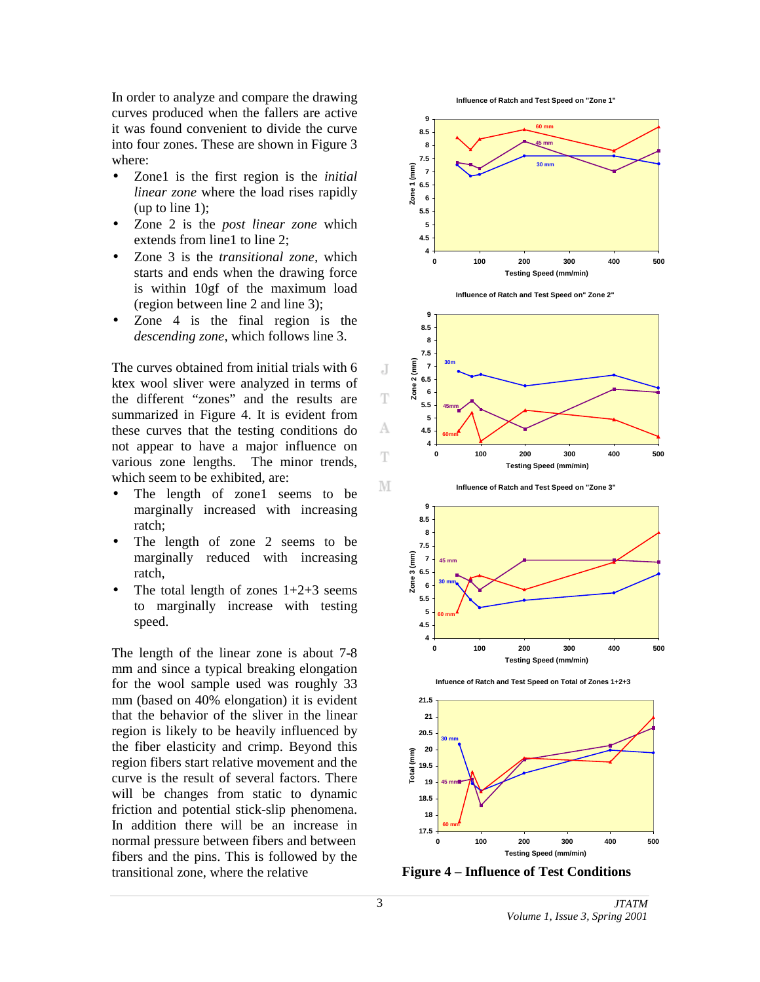In order to analyze and compare the drawing curves produced when the fallers are active it was found convenient to divide the curve into four zones. These are shown in Figure 3 where:

- Zone1 is the first region is the *initial linear zone* where the load rises rapidly (up to line 1);
- Zone 2 is the *post linear zone* which extends from line1 to line 2:
- Zone 3 is the *transitional zone,* which starts and ends when the drawing force is within 10gf of the maximum load (region between line 2 and line 3);
- Zone 4 is the final region is the *descending zone*, which follows line 3.

The curves obtained from initial trials with 6 ktex wool sliver were analyzed in terms of the different "zones" and the results are summarized in Figure 4. It is evident from these curves that the testing conditions do not appear to have a major influence on various zone lengths. The minor trends, which seem to be exhibited, are:

- The length of zone1 seems to be marginally increased with increasing ratch;
- The length of zone 2 seems to be marginally reduced with increasing ratch,
- The total length of zones  $1+2+3$  seems to marginally increase with testing speed.

The length of the linear zone is about 7-8 mm and since a typical breaking elongation for the wool sample used was roughly 33 mm (based on 40% elongation) it is evident that the behavior of the sliver in the linear region is likely to be heavily influenced by the fiber elasticity and crimp. Beyond this region fibers start relative movement and the curve is the result of several factors. There will be changes from static to dynamic friction and potential stick-slip phenomena. In addition there will be an increase in normal pressure between fibers and between fibers and the pins. This is followed by the transitional zone, where the relative

**Influence of Ratch and Test Speed on "Zone 1"**







**Infuence of Ratch and Test Speed on Total of Zones 1+2+3**



**Figure 4 – Influence of Test Conditions**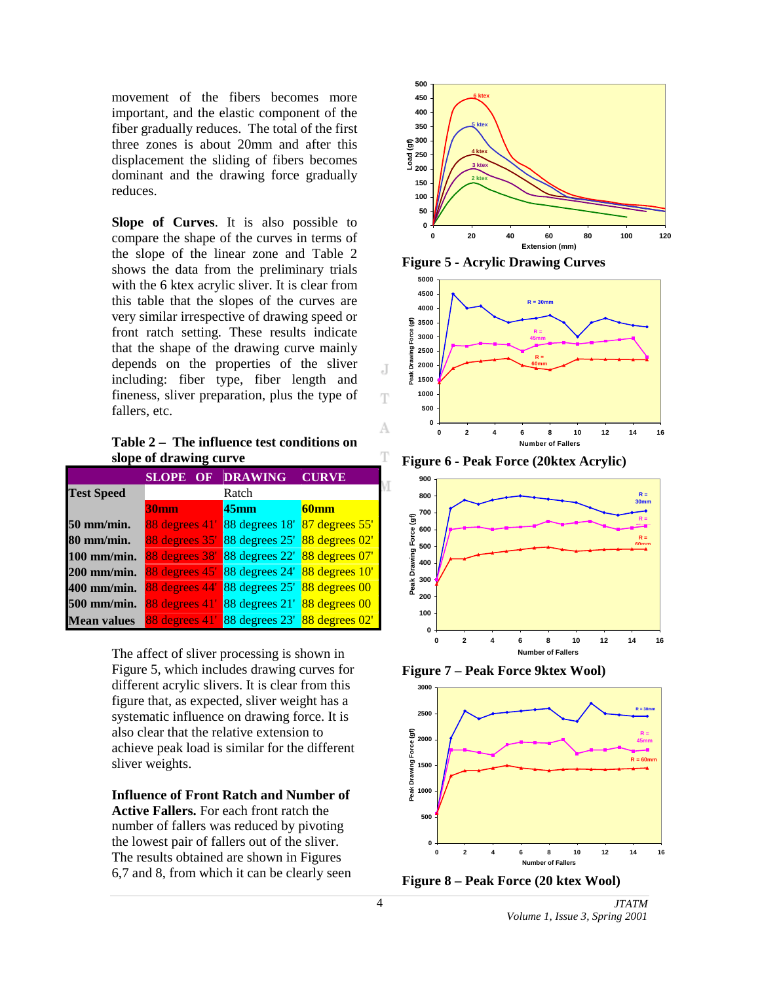movement of the fibers becomes more important, and the elastic component of the fiber gradually reduces. The total of the first three zones is about 20mm and after this displacement the sliding of fibers becomes dominant and the drawing force gradually reduces.

**Slope of Curves**. It is also possible to compare the shape of the curves in terms of the slope of the linear zone and Table 2 shows the data from the preliminary trials with the 6 ktex acrylic sliver. It is clear from this table that the slopes of the curves are very similar irrespective of drawing speed or front ratch setting. These results indicate that the shape of the drawing curve mainly depends on the properties of the sliver including: fiber type, fiber length and fineness, sliver preparation, plus the type of fallers, etc.

**Table 2 – The influence test conditions on slope of drawing curve** 

|                    | <b>SLOPE OF DRAWING</b> |                               | <b>CURVE</b>     |
|--------------------|-------------------------|-------------------------------|------------------|
| <b>Test Speed</b>  |                         | Ratch                         |                  |
|                    | <b>30mm</b>             | 45 <sub>mm</sub>              | 60 <sub>mm</sub> |
| 50 mm/min.         | 88 degrees 41'          | 88 degrees 18' 87 degrees 55' |                  |
| $80$ mm/min.       | 88 degrees 35'          | 88 degrees 25' 88 degrees 02' |                  |
| 100 mm/min.        | 88 degrees 38'          | 88 degrees 22' 88 degrees 07' |                  |
| 200 mm/min.        | 88 degrees 45'          | 88 degrees 24' 88 degrees 10' |                  |
| 400 mm/min.        | 88 degrees 44'          | 88 degrees 25' 88 degrees 00  |                  |
| 500 mm/min.        | 88 degrees 41'          | 88 degrees 21' 88 degrees 00  |                  |
| <b>Mean values</b> | 88 degrees 41'          | 88 degrees 23' 88 degrees 02' |                  |

The affect of sliver processing is shown in Figure 5, which includes drawing curves for different acrylic slivers. It is clear from this figure that, as expected, sliver weight has a systematic influence on drawing force. It is also clear that the relative extension to achieve peak load is similar for the different sliver weights.

**Influence of Front Ratch and Number of Active Fallers.** For each front ratch the number of fallers was reduced by pivoting the lowest pair of fallers out of the sliver. The results obtained are shown in Figures 6,7 and 8, from which it can be clearly seen







**Figure 6 - Peak Force (20ktex Acrylic)** 



**Figure 7 – Peak Force 9ktex Wool)** 





J.

Ŧ

А

T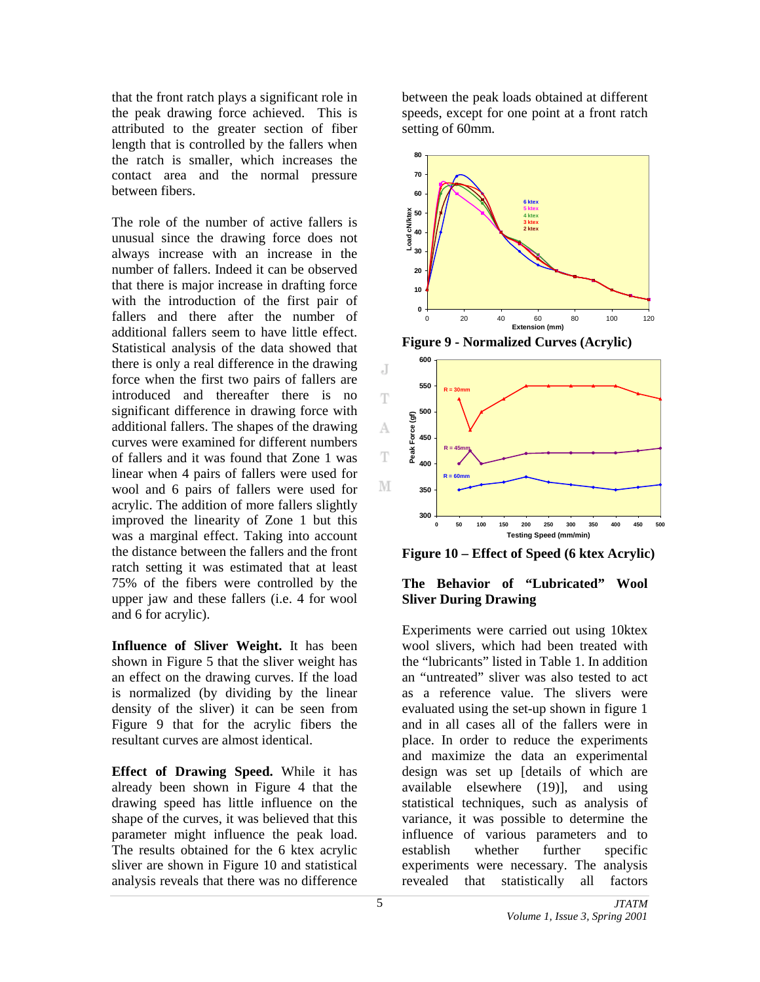that the front ratch plays a significant role in the peak drawing force achieved. This is attributed to the greater section of fiber length that is controlled by the fallers when the ratch is smaller, which increases the contact area and the normal pressure between fibers.

The role of the number of active fallers is unusual since the drawing force does not always increase with an increase in the number of fallers. Indeed it can be observed that there is major increase in drafting force with the introduction of the first pair of fallers and there after the number of additional fallers seem to have little effect. Statistical analysis of the data showed that there is only a real difference in the drawing force when the first two pairs of fallers are introduced and thereafter there is no significant difference in drawing force with additional fallers. The shapes of the drawing curves were examined for different numbers of fallers and it was found that Zone 1 was linear when 4 pairs of fallers were used for wool and 6 pairs of fallers were used for acrylic. The addition of more fallers slightly improved the linearity of Zone 1 but this was a marginal effect. Taking into account the distance between the fallers and the front ratch setting it was estimated that at least 75% of the fibers were controlled by the upper jaw and these fallers (i.e. 4 for wool and 6 for acrylic).

**Influence of Sliver Weight.** It has been shown in Figure 5 that the sliver weight has an effect on the drawing curves. If the load is normalized (by dividing by the linear density of the sliver) it can be seen from Figure 9 that for the acrylic fibers the resultant curves are almost identical.

**Effect of Drawing Speed.** While it has already been shown in Figure 4 that the drawing speed has little influence on the shape of the curves, it was believed that this parameter might influence the peak load. The results obtained for the 6 ktex acrylic sliver are shown in Figure 10 and statistical analysis reveals that there was no difference

between the peak loads obtained at different speeds, except for one point at a front ratch setting of 60mm.



**Figure 9 - Normalized Curves (Acrylic)** 



**Figure 10 – Effect of Speed (6 ktex Acrylic)** 

## **The Behavior of "Lubricated" Wool Sliver During Drawing**

Experiments were carried out using 10ktex wool slivers, which had been treated with the "lubricants" listed in Table 1. In addition an "untreated" sliver was also tested to act as a reference value. The slivers were evaluated using the set-up shown in figure 1 and in all cases all of the fallers were in place. In order to reduce the experiments and maximize the data an experimental design was set up [details of which are available elsewhere (19)], and using statistical techniques, such as analysis of variance, it was possible to determine the influence of various parameters and to establish whether further specific experiments were necessary. The analysis revealed that statistically all factors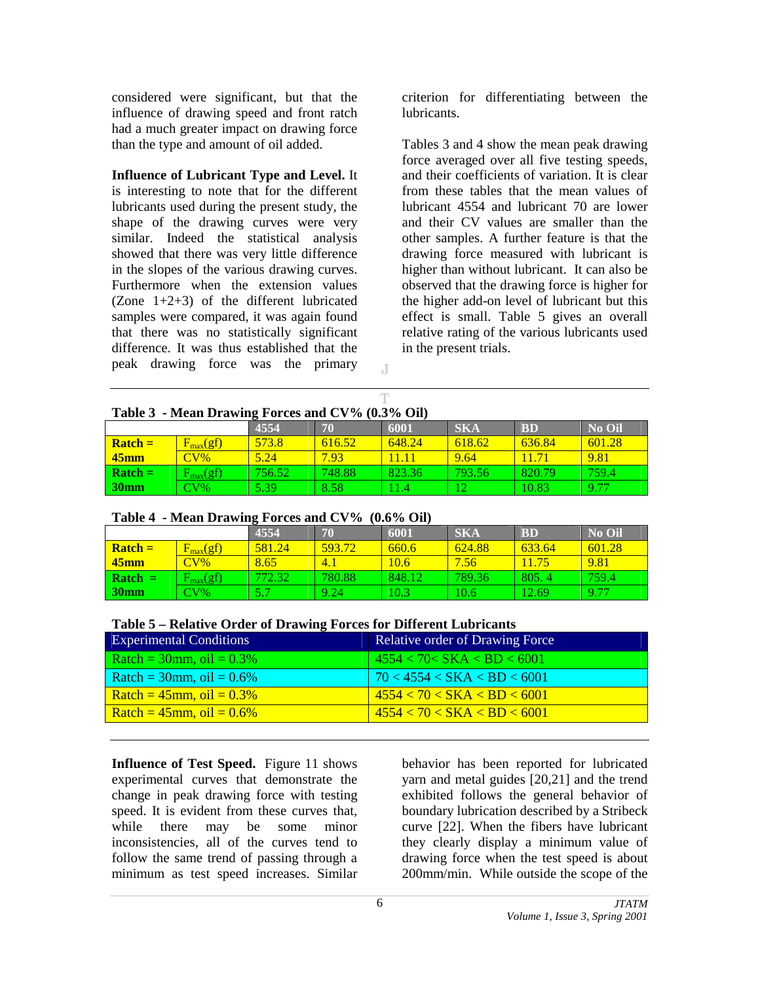considered were significant, but that the influence of drawing speed and front ratch had a much greater impact on drawing force than the type and amount of oil added.

#### **Influence of Lubricant Type and Level.** It

is interesting to note that for the different lubricants used during the present study, the shape of the drawing curves were very similar. Indeed the statistical analysis showed that there was very little difference in the slopes of the various drawing curves. Furthermore when the extension values (Zone 1+2+3) of the different lubricated samples were compared, it was again found that there was no statistically significant difference. It was thus established that the peak drawing force was the primary

criterion for differentiating between the lubricants.

Tables 3 and 4 show the mean peak drawing force averaged over all five testing speeds, and their coefficients of variation. It is clear from these tables that the mean values of lubricant 4554 and lubricant 70 are lower and their CV values are smaller than the other samples. A further feature is that the drawing force measured with lubricant is higher than without lubricant. It can also be observed that the drawing force is higher for the higher add-on level of lubricant but this effect is small. Table 5 gives an overall relative rating of the various lubricants used in the present trials.

|  | Table 3 - Mean Drawing Forces and CV% (0.3% Oil) |  |  |  |
|--|--------------------------------------------------|--|--|--|

|                             |                       | $\overline{\phantom{a}}$<br>4554 | 70     | 6001       | <b>SKA</b> | <b>BD</b> | <b>No Oil</b> |
|-----------------------------|-----------------------|----------------------------------|--------|------------|------------|-----------|---------------|
| $\overline{\text{Rateh}}$ = | $F_{\text{max}}(gf)$  | 573.8                            | 616.52 | 648.24     | 618.62     | 636.84    | 601.28        |
| $\sqrt{45}$ mm              | $\text{CV}\%$         | 5.24                             | 7.93   |            | 9.64       | 11.71     | 9.81          |
| $\overline{\text{Rateh}}$ = | $l_{\rm max}(\rm gf)$ | 756.52                           | 748.88 | 823.36     | 793.56     | 820.79    | 759.4         |
| 30mm                        | $\rm{CV\%}$           | 5.39                             | 8.58   | $\bm{4.4}$ | $\sqrt{2}$ | 10.83     | 9.77          |

J

Ŧ

## **Table 4 - Mean Drawing Forces and CV% (0.6% Oil)**

| 1.1<br>, vov / v v 11       |                            |        |        |        |            |           |               |
|-----------------------------|----------------------------|--------|--------|--------|------------|-----------|---------------|
|                             |                            | 4554   | 70     | 6001   | <b>SKA</b> | <b>BD</b> | <b>No Oil</b> |
| $\overline{\text{Rateh}}$ = | $F_{\rm max}(\mathrm{gf})$ | 581.24 | 593.72 | 660.6  | 624.88     | 633.64    | 601.28        |
| $\sqrt{45}$ mm              | $\text{CV}\%$              | 8.65   | $-4.1$ | 10.6   | 7.56       | 11.75     | 9.81          |
| $\vert$ Ratch $=$           | $F_{max}(gf)$              | 772.32 | 780.88 | 848.12 | 789.36     | 805.4     | 759.4         |
| 30mm                        | $CV\%$                     |        | 9.24   | 10.3   | 10.6       | 12.69     | 9.77          |

| <b>Experimental Conditions</b> | <b>Relative order of Drawing Force</b> |
|--------------------------------|----------------------------------------|
| Ratch = $30$ mm, oil = $0.3\%$ | 4554 < 70 < SKA < BD < 6001            |
| Ratch = $30$ mm, oil = $0.6\%$ | 70 < 4554 < SKA < BD < 6001            |
| Ratch = $45$ mm, oil = $0.3\%$ | 4554 < 70 < SKA < BD < 6001            |
| Ratch = $45$ mm, oil = $0.6\%$ | 4554 < 70 < SKA < BD < 6001            |

**Influence of Test Speed.** Figure 11 shows experimental curves that demonstrate the change in peak drawing force with testing speed. It is evident from these curves that, while there may be some minor inconsistencies, all of the curves tend to follow the same trend of passing through a minimum as test speed increases. Similar

behavior has been reported for lubricated yarn and metal guides [20,21] and the trend exhibited follows the general behavior of boundary lubrication described by a Stribeck curve [22]. When the fibers have lubricant they clearly display a minimum value of drawing force when the test speed is about 200mm/min. While outside the scope of the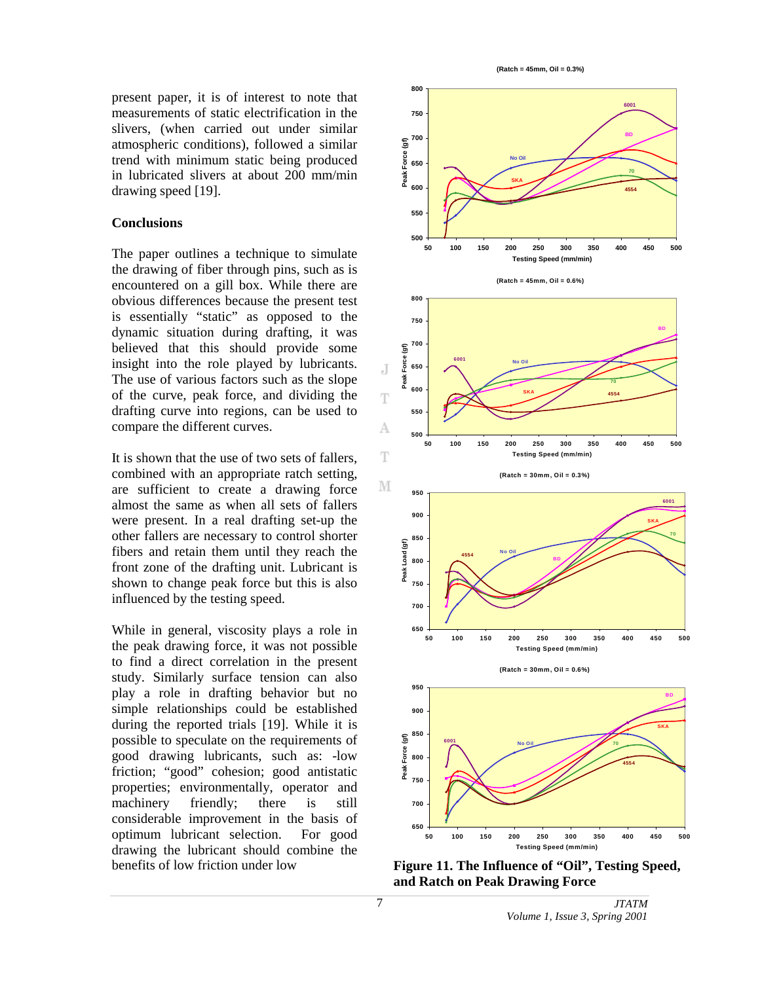present paper, it is of interest to note that measurements of static electrification in the slivers, (when carried out under similar atmospheric conditions), followed a similar trend with minimum static being produced in lubricated slivers at about 200 mm/min drawing speed [19].

## **Conclusions**

The paper outlines a technique to simulate the drawing of fiber through pins, such as is encountered on a gill box. While there are obvious differences because the present test is essentially "static" as opposed to the dynamic situation during drafting, it was believed that this should provide some insight into the role played by lubricants. The use of various factors such as the slope of the curve, peak force, and dividing the drafting curve into regions, can be used to compare the different curves.

It is shown that the use of two sets of fallers, combined with an appropriate ratch setting, are sufficient to create a drawing force almost the same as when all sets of fallers were present. In a real drafting set-up the other fallers are necessary to control shorter fibers and retain them until they reach the front zone of the drafting unit. Lubricant is shown to change peak force but this is also influenced by the testing speed.

While in general, viscosity plays a role in the peak drawing force, it was not possible to find a direct correlation in the present study. Similarly surface tension can also play a role in drafting behavior but no simple relationships could be established during the reported trials [19]. While it is possible to speculate on the requirements of good drawing lubricants, such as: -low friction; "good" cohesion; good antistatic properties; environmentally, operator and machinery friendly; there is still considerable improvement in the basis of optimum lubricant selection. For good drawing the lubricant should combine the benefits of low friction under low

**(Ratch = 45mm, Oil = 0.3%)**



**Figure 11. The Influence of "Oil", Testing Speed, and Ratch on Peak Drawing Force**